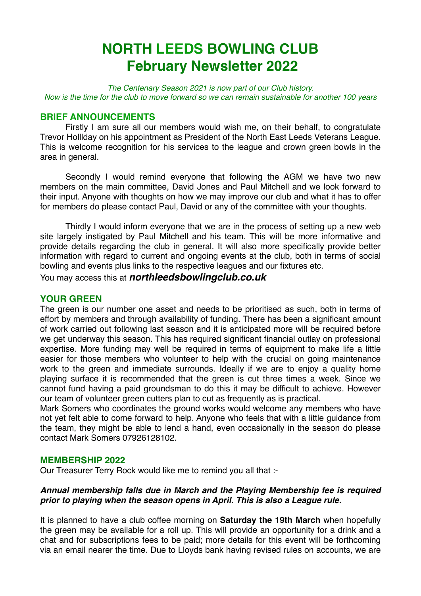# **NORTH LEEDS BOWLING CLUB February Newsletter 2022**

*The Centenary Season 2021 is now part of our Club history. Now is the time for the club to move forward so we can remain sustainable for another 100 years* 

## **BRIEF ANNOUNCEMENTS**

Firstly I am sure all our members would wish me, on their behalf, to congratulate Trevor Holllday on his appointment as President of the North East Leeds Veterans League. This is welcome recognition for his services to the league and crown green bowls in the area in general.

Secondly I would remind everyone that following the AGM we have two new members on the main committee, David Jones and Paul Mitchell and we look forward to their input. Anyone with thoughts on how we may improve our club and what it has to offer for members do please contact Paul, David or any of the committee with your thoughts.

Thirdly I would inform everyone that we are in the process of setting up a new web site largely instigated by Paul Mitchell and his team. This will be more informative and provide details regarding the club in general. It will also more specifically provide better information with regard to current and ongoing events at the club, both in terms of social bowling and events plus links to the respective leagues and our fixtures etc.

You may access this at *northleedsbowlingclub.co.uk*

## **YOUR GREEN**

The green is our number one asset and needs to be prioritised as such, both in terms of effort by members and through availability of funding. There has been a significant amount of work carried out following last season and it is anticipated more will be required before we get underway this season. This has required significant financial outlay on professional expertise. More funding may well be required in terms of equipment to make life a little easier for those members who volunteer to help with the crucial on going maintenance work to the green and immediate surrounds. Ideally if we are to enjoy a quality home playing surface it is recommended that the green is cut three times a week. Since we cannot fund having a paid groundsman to do this it may be difficult to achieve. However our team of volunteer green cutters plan to cut as frequently as is practical.

Mark Somers who coordinates the ground works would welcome any members who have not yet felt able to come forward to help. Anyone who feels that with a little guidance from the team, they might be able to lend a hand, even occasionally in the season do please contact Mark Somers 07926128102.

## **MEMBERSHIP 2022**

Our Treasurer Terry Rock would like me to remind you all that :-

## *Annual membership falls due in March and the Playing Membership fee is required prior to playing when the season opens in April. This is also a League rule.*

It is planned to have a club coffee morning on **Saturday the 19th March** when hopefully the green may be available for a roll up. This will provide an opportunity for a drink and a chat and for subscriptions fees to be paid; more details for this event will be forthcoming via an email nearer the time. Due to Lloyds bank having revised rules on accounts, we are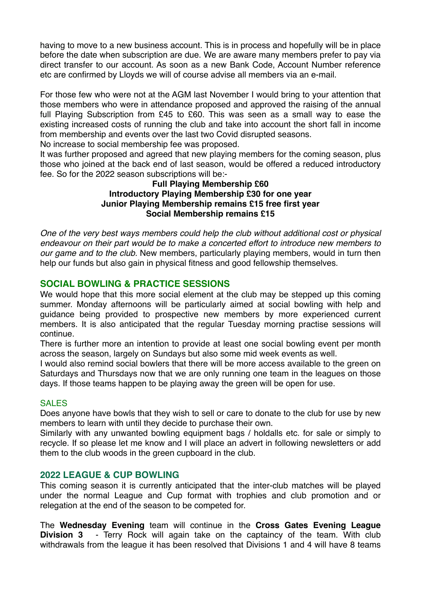having to move to a new business account. This is in process and hopefully will be in place before the date when subscription are due. We are aware many members prefer to pay via direct transfer to our account. As soon as a new Bank Code, Account Number reference etc are confirmed by Lloyds we will of course advise all members via an e-mail.

For those few who were not at the AGM last November I would bring to your attention that those members who were in attendance proposed and approved the raising of the annual full Playing Subscription from £45 to £60. This was seen as a small way to ease the existing increased costs of running the club and take into account the short fall in income from membership and events over the last two Covid disrupted seasons.

No increase to social membership fee was proposed.

It was further proposed and agreed that new playing members for the coming season, plus those who joined at the back end of last season, would be offered a reduced introductory fee. So for the 2022 season subscriptions will be:-

## **Full Playing Membership £60 Introductory Playing Membership £30 for one year Junior Playing Membership remains £15 free first year Social Membership remains £15**

*One of the very best ways members could help the club without additional cost or physical endeavour on their part would be to make a concerted effort to introduce new members to our game and to the club.* New members, particularly playing members, would in turn then help our funds but also gain in physical fitness and good fellowship themselves.

## **SOCIAL BOWLING & PRACTICE SESSIONS**

We would hope that this more social element at the club may be stepped up this coming summer. Monday afternoons will be particularly aimed at social bowling with help and guidance being provided to prospective new members by more experienced current members. It is also anticipated that the regular Tuesday morning practise sessions will continue.

There is further more an intention to provide at least one social bowling event per month across the season, largely on Sundays but also some mid week events as well.

I would also remind social bowlers that there will be more access available to the green on Saturdays and Thursdays now that we are only running one team in the leagues on those days. If those teams happen to be playing away the green will be open for use.

## SALES

Does anyone have bowls that they wish to sell or care to donate to the club for use by new members to learn with until they decide to purchase their own.

Similarly with any unwanted bowling equipment bags / holdalls etc. for sale or simply to recycle. If so please let me know and I will place an advert in following newsletters or add them to the club woods in the green cupboard in the club.

## **2022 LEAGUE & CUP BOWLING**

This coming season it is currently anticipated that the inter-club matches will be played under the normal League and Cup format with trophies and club promotion and or relegation at the end of the season to be competed for.

The **Wednesday Evening** team will continue in the **Cross Gates Evening League Division 3** - Terry Rock will again take on the captaincy of the team. With club withdrawals from the league it has been resolved that Divisions 1 and 4 will have 8 teams